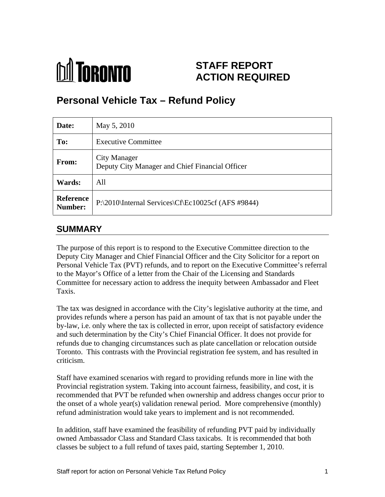

# **STAFF REPORT ACTION REQUIRED**

# **Personal Vehicle Tax – Refund Policy**

| Date:                | May 5, 2010                                                            |
|----------------------|------------------------------------------------------------------------|
| To:                  | <b>Executive Committee</b>                                             |
| From:                | <b>City Manager</b><br>Deputy City Manager and Chief Financial Officer |
| <b>Wards:</b>        | All                                                                    |
| Reference<br>Number: | P:\2010\Internal Services\Cf\Ec10025cf (AFS #9844)                     |

# **SUMMARY**

The purpose of this report is to respond to the Executive Committee direction to the Deputy City Manager and Chief Financial Officer and the City Solicitor for a report on Personal Vehicle Tax (PVT) refunds, and to report on the Executive Committee's referral to the Mayor's Office of a letter from the Chair of the Licensing and Standards Committee for necessary action to address the inequity between Ambassador and Fleet Taxis.

The tax was designed in accordance with the City's legislative authority at the time, and provides refunds where a person has paid an amount of tax that is not payable under the by-law, i.e. only where the tax is collected in error, upon receipt of satisfactory evidence and such determination by the City's Chief Financial Officer. It does not provide for refunds due to changing circumstances such as plate cancellation or relocation outside Toronto. This contrasts with the Provincial registration fee system, and has resulted in criticism. Staff have examined scenarios with regard to providing refunds more in line with the

Provincial registration system. Taking into account fairness, feasibility, and cost, it is recommended that PVT be refunded when ownership and address changes occur prior to the onset of a whole year(s) validation renewal period. More comprehensive (monthly) refund administration would take years to implement and is not recommended.

In addition, staff have examined the feasibility of refunding PVT paid by individually owned Ambassador Class and Standard Class taxicabs. It is recommended that both classes be subject to a full refund of taxes paid, starting September 1, 2010.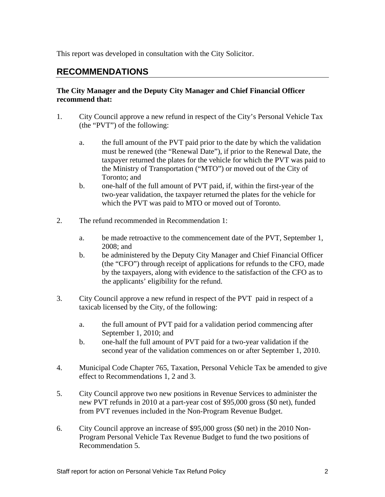This report was developed in consultation with the City Solicitor.

## **RECOMMENDATIONS**

#### **The City Manager and the Deputy City Manager and Chief Financial Officer recommend that:**

- 1. City Council approve a new refund in respect of the City's Personal Vehicle Tax (the "PVT") of the following:
	- a. the full amount of the PVT paid prior to the date by which the validation must be renewed (the "Renewal Date"), if prior to the Renewal Date, the taxpayer returned the plates for the vehicle for which the PVT was paid to the Ministry of Transportation ("MTO") or moved out of the City of Toronto; and
	- b. one-half of the full amount of PVT paid, if, within the first-year of the two-year validation, the taxpayer returned the plates for the vehicle for which the PVT was paid to MTO or moved out of Toronto.
- 2. The refund recommended in Recommendation 1:
	- a. be made retroactive to the commencement date of the PVT, September 1, 2008; and
	- b. be administered by the Deputy City Manager and Chief Financial Officer (the "CFO") through receipt of applications for refunds to the CFO, made by the taxpayers, along with evidence to the satisfaction of the CFO as to the applicants' eligibility for the refund.
- 3. City Council approve a new refund in respect of the PVT paid in respect of a taxicab licensed by the City, of the following:
	- a. the full amount of PVT paid for a validation period commencing after September 1, 2010; and
	- b. one-half the full amount of PVT paid for a two-year validation if the
- second year of the validation commences on or after September 1, 2010.<br>4. Municipal Code Chapter 765, Taxation, Personal Vehicle Tax be amended to give effect to Recommendations 1, 2 and 3.
- 5. City Council approve two new positions in Revenue Services to administer the new PVT refunds in 2010 at a part-year cost of \$95,000 gross (\$0 net), funded from PVT revenues included in the Non-Program Revenue Budget.
- 6. City Council approve an increase of \$95,000 gross (\$0 net) in the 2010 Non- Program Personal Vehicle Tax Revenue Budget to fund the two positions of Recommendation 5.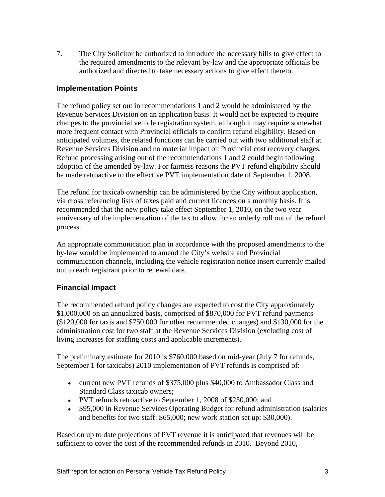7. The City Solicitor be authorized to introduce the necessary bills to give effect to the required amendments to the relevant by-law and the appropriate officials be authorized and directed to take necessary actions to give effect thereto.

### **Implementation Points**

The refund policy set out in recommendations 1 and 2 would be administered by the Revenue Services Division on an application basis. It would not be expected to require changes to the provincial vehicle registration system, although it may require somewhat more frequent contact with Provincial officials to confirm refund eligibility. Based on anticipated volumes, the related functions can be carried out with two additional staff at Revenue Services Division and no material impact on Provincial cost recovery charges. Refund processing arising out of the recommendations 1 and 2 could begin following adoption of the amended by-law. For fairness reasons the PVT refund eligibility should be made retroactive to the effective PVT implementation date of September 1, 2008.

The refund for taxicab ownership can be administered by the City without application, via cross referencing lists of taxes paid and current licences on a monthly basis. It is recommended that the new policy take effect September 1, 2010, on the two year anniversary of the implementation of the tax to allow for an orderly roll out of the refund process.

An appropriate communication plan in accordance with the proposed amendments to the by-law would be implemented to amend the City's website and Provincial communication channels, including the vehicle registration notice insert currently mailed out to each registrant prior to renewal date.

### **Financial Impact**

The recommended refund policy changes are expected to cost the City approximately \$1,000,000 on an annualized basis, comprised of \$870,000 for PVT refund payments (\$120,000 for taxis and \$750,000 for other recommended changes) and \$130,000 for the administration cost for two staff at the Revenue Services Division (excluding cost of living increases for staffing costs and applicable increments).

The preliminary estimate for 2010 is \$760,000 based on mid-year (July 7 for refunds, September 1 for taxicabs) 2010 implementation of PVT refunds is comprised of:

- current new PVT refunds of \$375,000 plus \$40,000 to Ambassador Class and Standard Class taxicab owners;
- PVT refunds retroactive to September 1, 2008 of \$250,000; and
- \$95,000 in Revenue Services Operating Budget for refund administration (salaries and benefits for two staff: \$65,000; new work station set up: \$30,000).

Based on up to date projections of PVT revenue it is anticipated that revenues will be sufficient to cover the cost of the recommended refunds in 2010. Beyond 2010,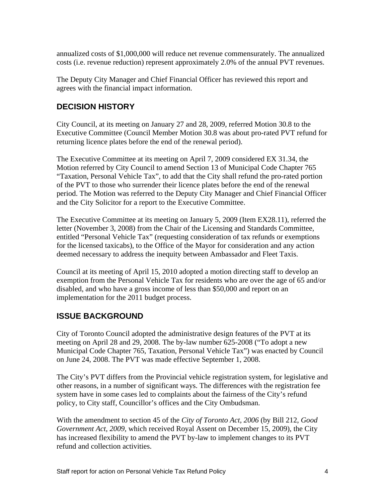annualized costs of \$1,000,000 will reduce net revenue commensurately. The annualized costs (i.e. revenue reduction) represent approximately 2.0% of the annual PVT revenues.

The Deputy City Manager and Chief Financial Officer has reviewed this report and agrees with the financial impact information.

# **DECISION HISTORY**

City Council, at its meeting on January 27 and 28, 2009, referred Motion 30.8 to the Executive Committee (Council Member Motion 30.8 was about pro-rated PVT refund for returning licence plates before the end of the renewal period).

The Executive Committee at its meeting on April 7, 2009 considered EX 31.34, the Motion referred by City Council to amend Section 13 of Municipal Code Chapter 765 "Taxation, Personal Vehicle Tax", to add that the City shall refund the pro-rated portion of the PVT to those who surrender their licence plates before the end of the renewal period. The Motion was referred to the Deputy City Manager and Chief Financial Officer and the City Solicitor for a report to the Executive Committee. The Executive Committee at its meeting on January 5, 2009 (Item EX28.11), referred the

letter (November 3, 2008) from the Chair of the Licensing and Standards Committee, entitled "Personal Vehicle Tax" (requesting consideration of tax refunds or exemptions for the licensed taxicabs), to the Office of the Mayor for consideration and any action deemed necessary to address the inequity between Ambassador and Fleet Taxis.

Council at its meeting of April 15, 2010 adopted a motion directing staff to develop an exemption from the Personal Vehicle Tax for residents who are over the age of 65 and/or disabled, and who have a gross income of less than \$50,000 and report on an implementation for the 2011 budget process.

## **ISSUE BACKGROUND**

City of Toronto Council adopted the administrative design features of the PVT at its meeting on April 28 and 29, 2008. The by-law number 625-2008 ("To adopt a new Municipal Code Chapter 765, Taxation, Personal Vehicle Tax") was enacted by Council on June 24, 2008. The PVT was made effective September 1, 2008.

The City's PVT differs from the Provincial vehicle registration system, for legislative and other reasons, in a number of significant ways. The differences with the registration fee system have in some cases led to complaints about the fairness of the City's refund policy, to City staff, Councillor's offices and the City Ombudsman.

With the amendment to section 45 of the *City of Toronto Act, 2006* (by Bill 212, *Good Government Act, 2009,* which received Royal Assent on December 15, 2009), the City has increased flexibility to amend the PVT by-law to implement changes to its PVT refund and collection activities.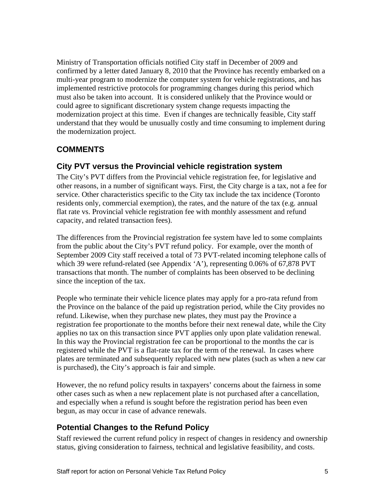Ministry of Transportation officials notified City staff in December of 2009 and confirmed by a letter dated January 8, 2010 that the Province has recently embarked on a multi-year program to modernize the computer system for vehicle registrations, and has implemented restrictive protocols for programming changes during this period which must also be taken into account. It is considered unlikely that the Province would or could agree to significant discretionary system change requests impacting the modernization project at this time. Even if changes are technically feasible, City staff understand that they would be unusually costly and time consuming to implement during the modernization project.

# **COMMENTS**

### **City PVT versus the Provincial vehicle registration system**

The City's PVT differs from the Provincial vehicle registration fee, for legislative and other reasons, in a number of significant ways. First, the City charge is a tax, not a fee for service. Other characteristics specific to the City tax include the tax incidence (Toronto residents only, commercial exemption), the rates, and the nature of the tax (e.g. annual flat rate vs. Provincial vehicle registration fee with monthly assessment and refund capacity, and related transaction fees).

The differences from the Provincial registration fee system have led to some complaints from the public about the City's PVT refund policy. For example, over the month of September 2009 City staff received a total of 73 PVT-related incoming telephone calls of which 39 were refund-related (see Appendix 'A'), representing 0.06% of 67,878 PVT transactions that month. The number of complaints has been observed to be declining since the inception of the tax.

People who terminate their vehicle licence plates may apply for a pro-rata refund from the Province on the balance of the paid up registration period, while the City provides no refund. Likewise, when they purchase new plates, they must pay the Province a registration fee proportionate to the months before their next renewal date, while the City applies no tax on this transaction since PVT applies only upon plate validation renewal. In this way the Provincial registration fee can be proportional to the months the car is registered while the PVT is a flat-rate tax for the term of the renewal. In cases where plates are terminated and subsequently replaced with new plates (such as when a new car is purchased), the City's approach is fair and simple.

However, the no refund policy results in taxpayers' concerns about the fairness in some other cases such as when a new replacement plate is not purchased after a cancellation, and especially when a refund is sought before the registration period has been even begun, as may occur in case of advance renewals.

# **Potential Changes to the Refund Policy**

Staff reviewed the current refund policy in respect of changes in residency and ownership status, giving consideration to fairness, technical and legislative feasibility, and costs.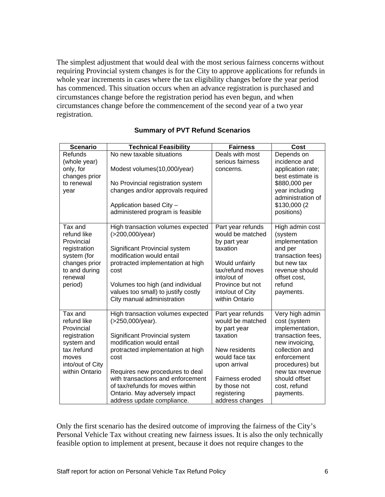The simplest adjustment that would deal with the most serious fairness concerns without requiring Provincial system changes is for the City to approve applications for refunds in whole year increments in cases where the tax eligibility changes before the year period has commenced. This situation occurs when an advance registration is purchased and circumstances change before the registration period has even begun, and when circumstances change before the commencement of the second year of a two year registration.

| <b>Scenario</b>  | <b>Technical Feasibility</b>         | <b>Fairness</b>   | Cost              |
|------------------|--------------------------------------|-------------------|-------------------|
| Refunds          | No new taxable situations            | Deals with most   | Depends on        |
| (whole year)     |                                      | serious fairness  | incidence and     |
| only, for        | Modest volumes(10,000/year)          | concerns.         | application rate; |
| changes prior    |                                      |                   | best estimate is  |
| to renewal       | No Provincial registration system    |                   | \$880,000 per     |
| year             | changes and/or approvals required    |                   | year including    |
|                  |                                      |                   | administration of |
|                  | Application based City -             |                   | \$130,000 (2      |
|                  | administered program is feasible     |                   | positions)        |
|                  |                                      |                   |                   |
| Tax and          | High transaction volumes expected    | Part year refunds | High admin cost   |
| refund like      | (>200,000/year)                      | would be matched  | (system           |
| Provincial       |                                      | by part year      | implementation    |
| registration     | <b>Significant Provincial system</b> | taxation          | and per           |
| system (for      | modification would entail            |                   | transaction fees) |
| changes prior    | protracted implementation at high    | Would unfairly    | but new tax       |
| to and during    | cost                                 | tax/refund moves  | revenue should    |
| renewal          |                                      | into/out of       | offset cost,      |
| period)          | Volumes too high (and individual     | Province but not  | refund            |
|                  | values too small) to justify costly  | into/out of City  | payments.         |
|                  | City manual administration           | within Ontario    |                   |
|                  |                                      |                   |                   |
| Tax and          | High transaction volumes expected    | Part year refunds | Very high admin   |
| refund like      | (>250,000/year).                     | would be matched  | cost (system      |
| Provincial       |                                      | by part year      | implementation,   |
| registration     | Significant Provincial system        | taxation          | transaction fees, |
| system and       | modification would entail            |                   | new invoicing,    |
| tax /refund      | protracted implementation at high    | New residents     | collection and    |
| moves            | cost                                 | would face tax    | enforcement       |
| into/out of City |                                      | upon arrival      | procedures) but   |
| within Ontario   | Requires new procedures to deal      |                   | new tax revenue   |
|                  | with transactions and enforcement    | Fairness eroded   | should offset     |
|                  | of tax/refunds for moves within      | by those not      | cost, refund      |
|                  | Ontario. May adversely impact        | registering       | payments.         |
|                  | address update compliance.           | address changes   |                   |

#### **Summary of PVT Refund Scenarios**

Only the first scenario has the desired outcome of improving the fairness of the City's Personal Vehicle Tax without creating new fairness issues. It is also the only technically feasible option to implement at present, because it does not require changes to the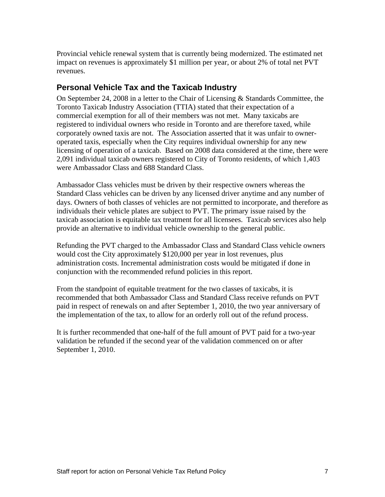Provincial vehicle renewal system that is currently being modernized. The estimated net impact on revenues is approximately \$1 million per year, or about 2% of total net PVT revenues.

## **Personal Vehicle Tax and the Taxicab Industry**

On September 24, 2008 in a letter to the Chair of Licensing & Standards Committee, the Toronto Taxicab Industry Association (TTIA) stated that their expectation of a commercial exemption for all of their members was not met. Many taxicabs are registered to individual owners who reside in Toronto and are therefore taxed, while corporately owned taxis are not. The Association asserted that it was unfair to owner operated taxis, especially when the City requires individual ownership for any new licensing of operation of a taxicab. Based on 2008 data considered at the time, there were 2,091 individual taxicab owners registered to City of Toronto residents, of which 1,403 were Ambassador Class and 688 Standard Class.

Ambassador Class vehicles must be driven by their respective owners whereas the Standard Class vehicles can be driven by any licensed driver anytime and any number of days. Owners of both classes of vehicles are not permitted to incorporate, and therefore as individuals their vehicle plates are subject to PVT. The primary issue raised by the taxicab association is equitable tax treatment for all licensees. Taxicab services also help provide an alternative to individual vehicle ownership to the general public.

Refunding the PVT charged to the Ambassador Class and Standard Class vehicle owners would cost the City approximately \$120,000 per year in lost revenues, plus administration costs. Incremental administration costs would be mitigated if done in conjunction with the recommended refund policies in this report.

From the standpoint of equitable treatment for the two classes of taxicabs, it is recommended that both Ambassador Class and Standard Class receive refunds on PVT paid in respect of renewals on and after September 1, 2010, the two year anniversary of the implementation of the tax, to allow for an orderly roll out of the refund process.

It is further recommended that one-half of the full amount of PVT paid for a two-year validation be refunded if the second year of the validation commenced on or after September 1, 2010.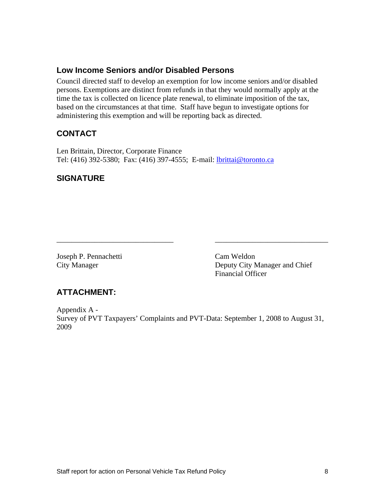### **Low Income Seniors and/or Disabled Persons**

Council directed staff to develop an exemption for low income seniors and/or disabled persons. Exemptions are distinct from refunds in that they would normally apply at the time the tax is collected on licence plate renewal, to eliminate imposition of the tax, based on the circumstances at that time. Staff have begun to investigate options for administering this exemption and will be reporting back as directed.

## **CONTACT**

Len Brittain, Director, Corporate Finance Tel: (416) 392-5380; Fax: (416) 397-4555; E-mail: lbrittai@toronto.ca

## **SIGNATURE**

Joseph P. Pennachetti Cam Weldon City Manager Deputy City Manager and Chief Financial Officer

# **ATTACHMENT:**

Appendix A - Survey of PVT Taxpayers' Complaints and PVT-Data: September 1, 2008 to August 31, 2009

 $\overline{\phantom{a}}$  , and the contract of the contract of the contract of the contract of the contract of the contract of the contract of the contract of the contract of the contract of the contract of the contract of the contrac